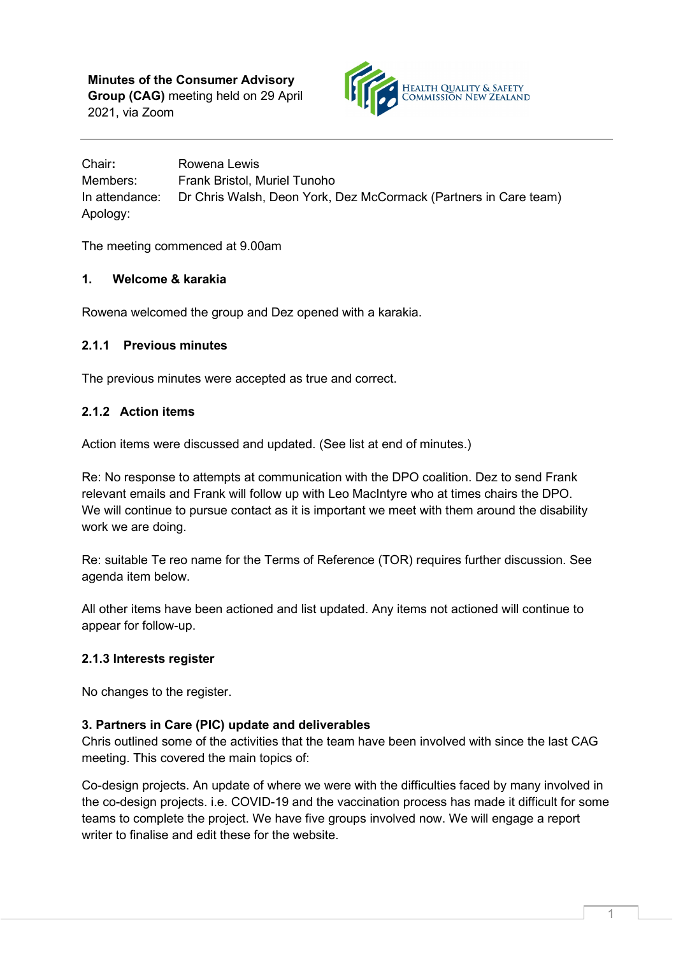

Chair**:** Rowena Lewis Members: Frank Bristol, Muriel Tunoho In attendance: Dr Chris Walsh, Deon York, Dez McCormack (Partners in Care team) Apology:

The meeting commenced at 9.00am

# **1. Welcome & karakia**

Rowena welcomed the group and Dez opened with a karakia.

# **2.1.1 Previous minutes**

The previous minutes were accepted as true and correct.

# **2.1.2 Action items**

Action items were discussed and updated. (See list at end of minutes.)

Re: No response to attempts at communication with the DPO coalition. Dez to send Frank relevant emails and Frank will follow up with Leo MacIntyre who at times chairs the DPO. We will continue to pursue contact as it is important we meet with them around the disability work we are doing.

Re: suitable Te reo name for the Terms of Reference (TOR) requires further discussion. See agenda item below.

All other items have been actioned and list updated. Any items not actioned will continue to appear for follow-up.

# **2.1.3 Interests register**

No changes to the register.

# **3. Partners in Care (PIC) update and deliverables**

Chris outlined some of the activities that the team have been involved with since the last CAG meeting. This covered the main topics of:

Co-design projects. An update of where we were with the difficulties faced by many involved in the co-design projects. i.e. COVID-19 and the vaccination process has made it difficult for some teams to complete the project. We have five groups involved now. We will engage a report writer to finalise and edit these for the website.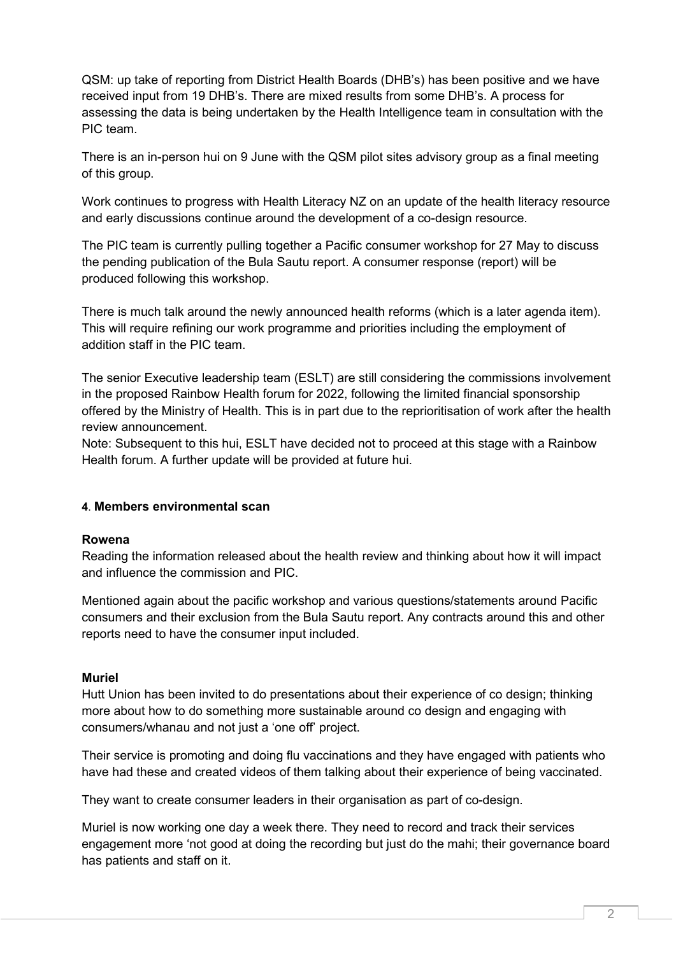QSM: up take of reporting from District Health Boards (DHB's) has been positive and we have received input from 19 DHB's. There are mixed results from some DHB's. A process for assessing the data is being undertaken by the Health Intelligence team in consultation with the PIC team.

There is an in-person hui on 9 June with the QSM pilot sites advisory group as a final meeting of this group.

Work continues to progress with Health Literacy NZ on an update of the health literacy resource and early discussions continue around the development of a co-design resource.

The PIC team is currently pulling together a Pacific consumer workshop for 27 May to discuss the pending publication of the Bula Sautu report. A consumer response (report) will be produced following this workshop.

There is much talk around the newly announced health reforms (which is a later agenda item). This will require refining our work programme and priorities including the employment of addition staff in the PIC team.

The senior Executive leadership team (ESLT) are still considering the commissions involvement in the proposed Rainbow Health forum for 2022, following the limited financial sponsorship offered by the Ministry of Health. This is in part due to the reprioritisation of work after the health review announcement.

Note: Subsequent to this hui, ESLT have decided not to proceed at this stage with a Rainbow Health forum. A further update will be provided at future hui.

## **4**. **Members environmental scan**

## **Rowena**

Reading the information released about the health review and thinking about how it will impact and influence the commission and PIC.

Mentioned again about the pacific workshop and various questions/statements around Pacific consumers and their exclusion from the Bula Sautu report. Any contracts around this and other reports need to have the consumer input included.

## **Muriel**

Hutt Union has been invited to do presentations about their experience of co design; thinking more about how to do something more sustainable around co design and engaging with consumers/whanau and not just a 'one off' project.

Their service is promoting and doing flu vaccinations and they have engaged with patients who have had these and created videos of them talking about their experience of being vaccinated.

They want to create consumer leaders in their organisation as part of co-design.

Muriel is now working one day a week there. They need to record and track their services engagement more 'not good at doing the recording but just do the mahi; their governance board has patients and staff on it.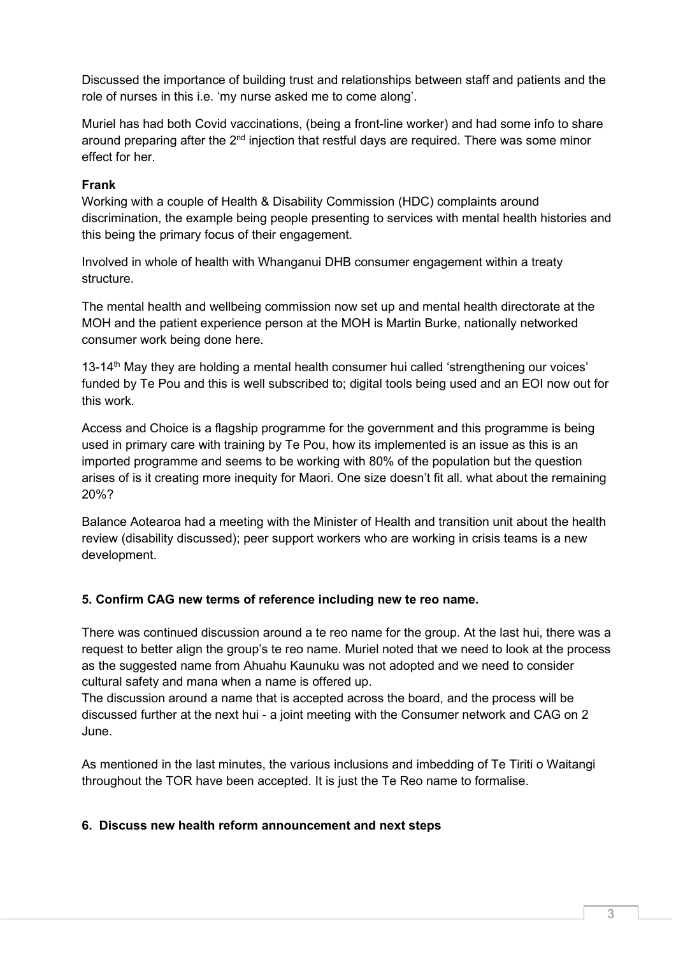Discussed the importance of building trust and relationships between staff and patients and the role of nurses in this i.e. 'my nurse asked me to come along'.

Muriel has had both Covid vaccinations, (being a front-line worker) and had some info to share around preparing after the  $2<sup>nd</sup>$  injection that restful days are required. There was some minor effect for her.

# **Frank**

Working with a couple of Health & Disability Commission (HDC) complaints around discrimination, the example being people presenting to services with mental health histories and this being the primary focus of their engagement.

Involved in whole of health with Whanganui DHB consumer engagement within a treaty structure.

The mental health and wellbeing commission now set up and mental health directorate at the MOH and the patient experience person at the MOH is Martin Burke, nationally networked consumer work being done here.

13-14<sup>th</sup> May they are holding a mental health consumer hui called 'strengthening our voices' funded by Te Pou and this is well subscribed to; digital tools being used and an EOI now out for this work.

Access and Choice is a flagship programme for the government and this programme is being used in primary care with training by Te Pou, how its implemented is an issue as this is an imported programme and seems to be working with 80% of the population but the question arises of is it creating more inequity for Maori. One size doesn't fit all. what about the remaining 20%?

Balance Aotearoa had a meeting with the Minister of Health and transition unit about the health review (disability discussed); peer support workers who are working in crisis teams is a new development.

# **5. Confirm CAG new terms of reference including new te reo name.**

There was continued discussion around a te reo name for the group. At the last hui, there was a request to better align the group's te reo name. Muriel noted that we need to look at the process as the suggested name from Ahuahu Kaunuku was not adopted and we need to consider cultural safety and mana when a name is offered up.

The discussion around a name that is accepted across the board, and the process will be discussed further at the next hui - a joint meeting with the Consumer network and CAG on 2 June.

As mentioned in the last minutes, the various inclusions and imbedding of Te Tiriti o Waitangi throughout the TOR have been accepted. It is just the Te Reo name to formalise.

## **6. Discuss new health reform announcement and next steps**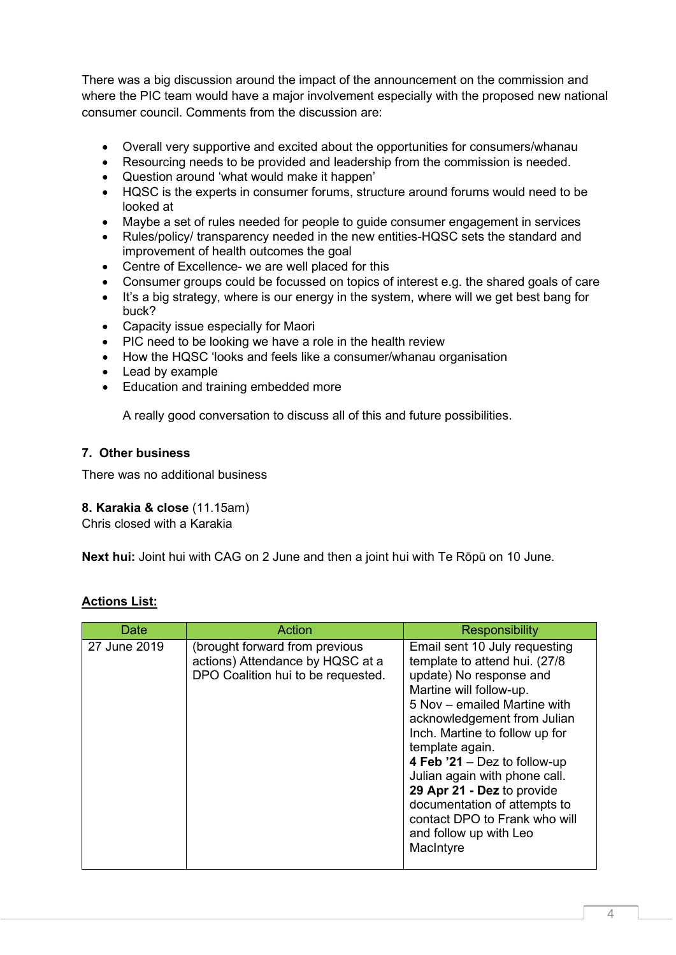There was a big discussion around the impact of the announcement on the commission and where the PIC team would have a major involvement especially with the proposed new national consumer council. Comments from the discussion are:

- Overall very supportive and excited about the opportunities for consumers/whanau
- Resourcing needs to be provided and leadership from the commission is needed.
- Question around 'what would make it happen'
- HQSC is the experts in consumer forums, structure around forums would need to be looked at
- Maybe a set of rules needed for people to guide consumer engagement in services
- Rules/policy/ transparency needed in the new entities-HQSC sets the standard and improvement of health outcomes the goal
- Centre of Excellence- we are well placed for this
- Consumer groups could be focussed on topics of interest e.g. the shared goals of care
- It's a big strategy, where is our energy in the system, where will we get best bang for buck?
- Capacity issue especially for Maori
- PIC need to be looking we have a role in the health review
- How the HQSC 'looks and feels like a consumer/whanau organisation
- Lead by example
- Education and training embedded more

A really good conversation to discuss all of this and future possibilities.

### **7. Other business**

There was no additional business

## **8. Karakia & close** (11.15am)

Chris closed with a Karakia

**Next hui:** Joint hui with CAG on 2 June and then a joint hui with Te Rōpū on 10 June.

| <b>Actions List:</b> |  |
|----------------------|--|
|                      |  |

| Date         | <b>Action</b>                                                                                            | Responsibility                                                                                                                                                                                                                                                                                                                                                                                                                                   |
|--------------|----------------------------------------------------------------------------------------------------------|--------------------------------------------------------------------------------------------------------------------------------------------------------------------------------------------------------------------------------------------------------------------------------------------------------------------------------------------------------------------------------------------------------------------------------------------------|
| 27 June 2019 | (brought forward from previous<br>actions) Attendance by HQSC at a<br>DPO Coalition hui to be requested. | Email sent 10 July requesting<br>template to attend hui. (27/8<br>update) No response and<br>Martine will follow-up.<br>5 Nov – emailed Martine with<br>acknowledgement from Julian<br>Inch. Martine to follow up for<br>template again.<br>4 Feb $21 -$ Dez to follow-up<br>Julian again with phone call.<br>29 Apr 21 - Dez to provide<br>documentation of attempts to<br>contact DPO to Frank who will<br>and follow up with Leo<br>MacIntyre |